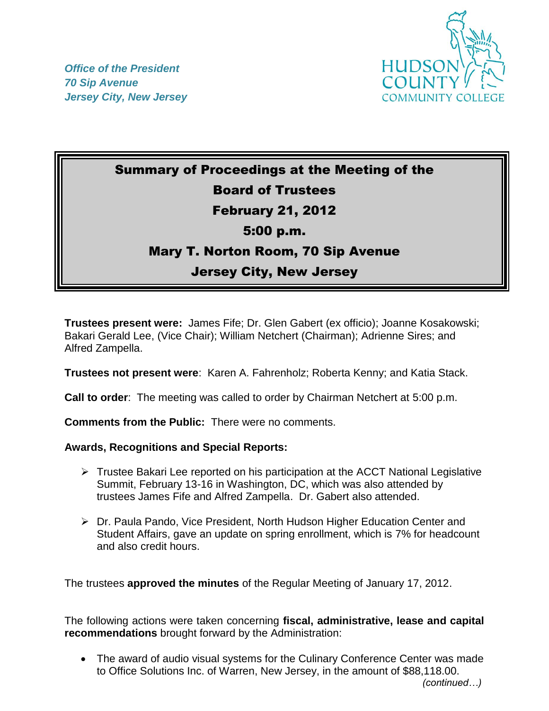



## Summary of Proceedings at the Meeting of the Board of Trustees February 21, 2012 5:00 p.m. Mary T. Norton Room, 70 Sip Avenue Jersey City, New Jersey

**Trustees present were:** James Fife; Dr. Glen Gabert (ex officio); Joanne Kosakowski; Bakari Gerald Lee, (Vice Chair); William Netchert (Chairman); Adrienne Sires; and Alfred Zampella.

**Trustees not present were**: Karen A. Fahrenholz; Roberta Kenny; and Katia Stack.

**Call to order**: The meeting was called to order by Chairman Netchert at 5:00 p.m.

**Comments from the Public:** There were no comments.

## **Awards, Recognitions and Special Reports:**

- $\triangleright$  Trustee Bakari Lee reported on his participation at the ACCT National Legislative Summit, February 13-16 in Washington, DC, which was also attended by trustees James Fife and Alfred Zampella. Dr. Gabert also attended.
- Dr. Paula Pando, Vice President, North Hudson Higher Education Center and Student Affairs, gave an update on spring enrollment, which is 7% for headcount and also credit hours.

The trustees **approved the minutes** of the Regular Meeting of January 17, 2012.

The following actions were taken concerning **fiscal, administrative, lease and capital recommendations** brought forward by the Administration:

 The award of audio visual systems for the Culinary Conference Center was made to Office Solutions Inc. of Warren, New Jersey, in the amount of \$88,118.00.